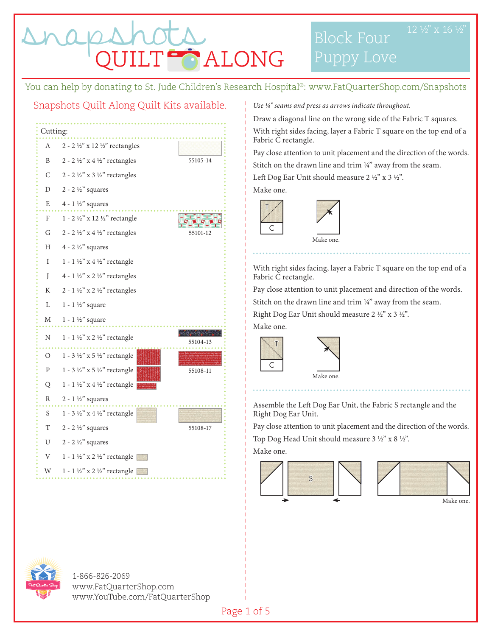LT<sup>es</sup> ALONG

Block Four

You can help by donating to St. Jude Children's Research Hospital®: www.FatQuarterShop.com/Snapshots

### Snapshots Quilt Along Quilt Kits available.



*Use 1/4" seams and press as arrows indicate throughout.* 

Draw a diagonal line on the wrong side of the Fabric T squares. With right sides facing, layer a Fabric T square on the top end of a Fabric C rectangle.

Pay close attention to unit placement and the direction of the words. Stitch on the drawn line and trim 1/4" away from the seam.

Left Dog Ear Unit should measure 2 ½" x 3 ½".

Make one.

T

C



With right sides facing, layer a Fabric T square on the top end of a Fabric C rectangle.

Pay close attention to unit placement and direction of the words. Stitch on the drawn line and trim 1/4" away from the seam.

Right Dog Ear Unit should measure 2 ½" x 3 ½".

Make one.

C

T



Assemble the Left Dog Ear Unit, the Fabric S rectangle and the Right Dog Ear Unit.

Pay close attention to unit placement and the direction of the words.

Top Dog Head Unit should measure 3 ½" x 8 ½".

Make one.







1-866-826-2069 www.FatQuarterShop.com www.YouTube.com/FatQuarterShop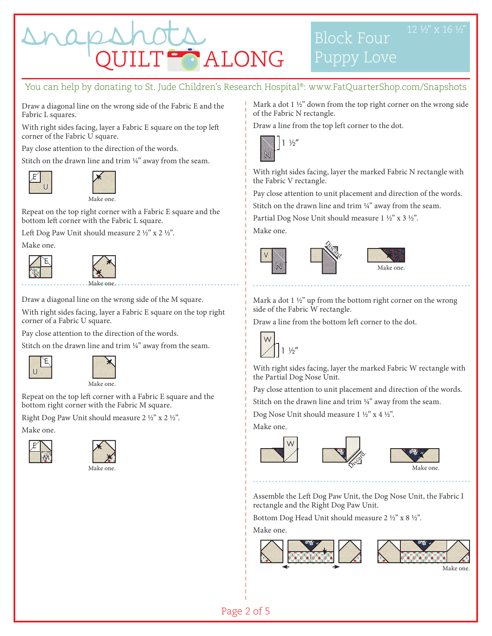

#### You can help by donating to St. Jude Children's Research Hospital®: www.FatQuarterShop.com/Snapshots

Draw a diagonal line on the wrong side of the Fabric E and the Fabric L squares.

With right sides facing, layer a Fabric E square on the top left corner of the Fabric U square.

Pay close attention to the direction of the words.

Stitch on the drawn line and trim 1/4" away from the seam.





Repeat on the top right corner with a Fabric E square and the bottom left corner with the Fabric L square.

Left Dog Paw Unit should measure 2 ½" x 2 ½".

Make one.





Draw a diagonal line on the wrong side of the M square.

With right sides facing, layer a Fabric E square on the top right corner of a Fabric U square.

Pay close attention to the direction of the words.

Stitch on the drawn line and trim  $\frac{1}{4}$ " away from the seam.





Repeat on the top left corner with a Fabric E square and the bottom right corner with the Fabric M square.

Right Dog Paw Unit should measure 2 ½" x 2 ½".

Make one.





Mark a dot 1 ½" down from the top right corner on the wrong side of the Fabric N rectangle.

Block Four

Puppy Love

Draw a line from the top left corner to the dot.



With right sides facing, layer the marked Fabric N rectangle with the Fabric V rectangle.

Pay close attention to unit placement and direction of the words.

Stitch on the drawn line and trim 1/4" away from the seam.

Partial Dog Nose Unit should measure 1 ½" x 3 ½".

Make one.



Mark a dot 1 ½" up from the bottom right corner on the wrong side of the Fabric W rectangle.

Draw a line from the bottom left corner to the dot.



With right sides facing, layer the marked Fabric W rectangle with the Partial Dog Nose Unit.

Pay close attention to unit placement and direction of the words.

Stitch on the drawn line and trim  $\frac{1}{4}$ " away from the seam.

Dog Nose Unit should measure 1 ½" x 4 ½".

Make one.





Make one.

Assemble the Left Dog Paw Unit, the Dog Nose Unit, the Fabric I rectangle and the Right Dog Paw Unit.

Bottom Dog Head Unit should measure 2 ½" x 8 ½".

Make one.





Make one.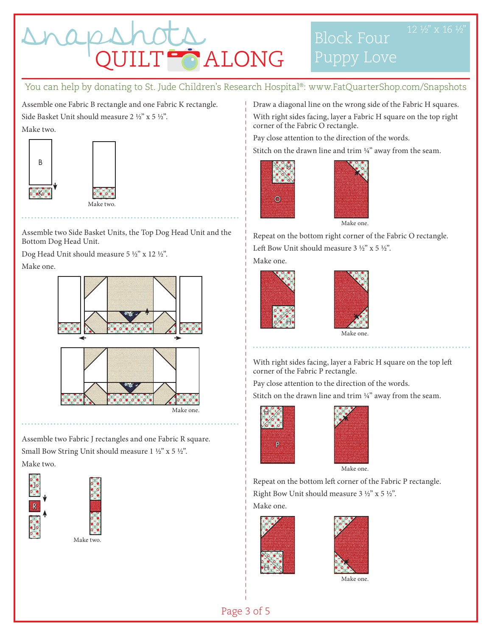

# Block Four

### You can help by donating to St. Jude Children's Research Hospital®: www.FatQuarterShop.com/Snapshots

Assemble one Fabric B rectangle and one Fabric K rectangle. Side Basket Unit should measure 2 ½" x 5 ½". Make two.



Make two.

Assemble two Side Basket Units, the Top Dog Head Unit and the Bottom Dog Head Unit.

Dog Head Unit should measure 5 ½" x 12 ½". Make one.



Assemble two Fabric J rectangles and one Fabric R square. Small Bow String Unit should measure 1 ½" x 5 ½". Make two.





Draw a diagonal line on the wrong side of the Fabric H squares. With right sides facing, layer a Fabric H square on the top right corner of the Fabric O rectangle.

Pay close attention to the direction of the words.

Stitch on the drawn line and trim  $\frac{1}{4}$ " away from the seam.





Repeat on the bottom right corner of the Fabric O rectangle. Left Bow Unit should measure 3 ½" x 5 ½". Make one.





Make one.

With right sides facing, layer a Fabric H square on the top left corner of the Fabric P rectangle.

Pay close attention to the direction of the words.

Stitch on the drawn line and trim  $\frac{1}{4}$ " away from the seam.





Repeat on the bottom left corner of the Fabric P rectangle. Right Bow Unit should measure 3 ½" x 5 ½".

Make one.





Make one.

Page 3 of 5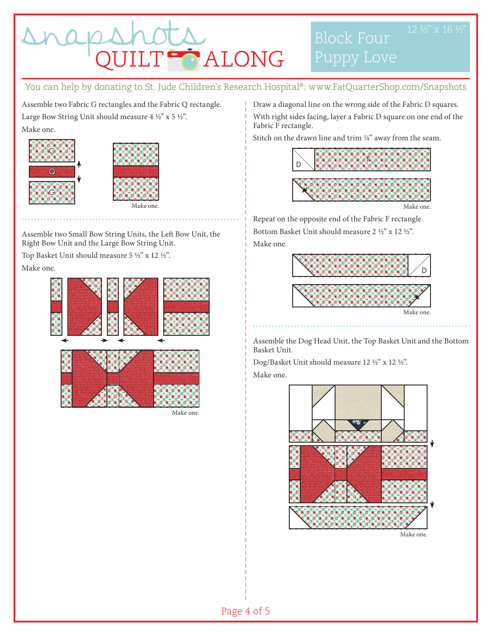

## Block Four

You can help by donating to St. Jude Children's Research Hospital®: www.FatQuarterShop.com/Snapshots

Assemble two Fabric G rectangles and the Fabric Q rectangle. Large Bow String Unit should measure 4 ½" x 5 ½". Make one.





Assemble two Small Bow String Units, the Left Bow Unit, the Right Bow Unit and the Large Bow String Unit.

Top Basket Unit should measure 5 ½" x 12 ½". Make one.



Make one.

Draw a diagonal line on the wrong side of the Fabric D squares. With right sides facing, layer a Fabric D square on one end of the Fabric F rectangle.

Stitch on the drawn line and trim  $\frac{1}{4}$ " away from the seam.



Make one.

Repeat on the opposite end of the Fabric F rectangle. Bottom Basket Unit should measure 2 ½" x 12 ½". Make one.



Assemble the Dog Head Unit, the Top Basket Unit and the Bottom Basket Unit.

Dog/Basket Unit should measure 12 ½" x 12 ½".

Make one.